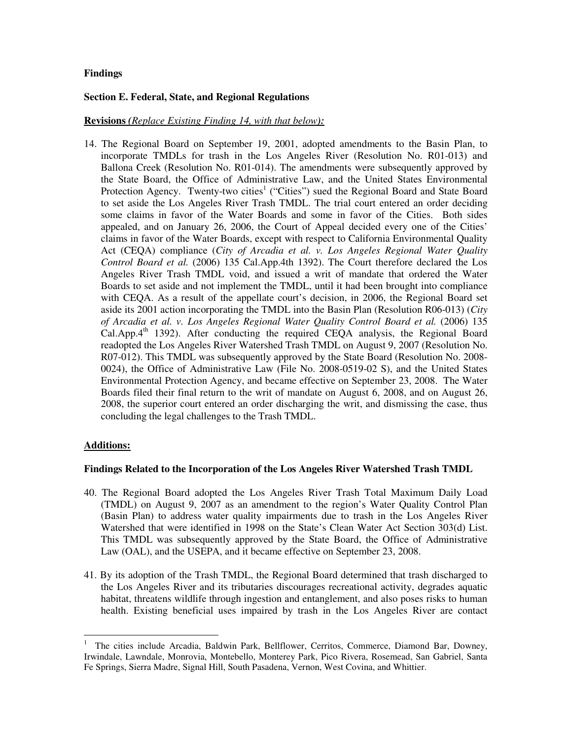# **Findings**

### **Section E. Federal, State, and Regional Regulations**

## **Revisions** *(Replace Existing Finding 14, with that below):*

14. The Regional Board on September 19, 2001, adopted amendments to the Basin Plan, to incorporate TMDLs for trash in the Los Angeles River (Resolution No. R01-013) and Ballona Creek (Resolution No. R01-014). The amendments were subsequently approved by the State Board, the Office of Administrative Law, and the United States Environmental Protection Agency. Twenty-two cities<sup>1</sup> ("Cities") sued the Regional Board and State Board to set aside the Los Angeles River Trash TMDL. The trial court entered an order deciding some claims in favor of the Water Boards and some in favor of the Cities. Both sides appealed, and on January 26, 2006, the Court of Appeal decided every one of the Cities' claims in favor of the Water Boards, except with respect to California Environmental Quality Act (CEQA) compliance (*City of Arcadia et al. v. Los Angeles Regional Water Quality Control Board et al.* (2006) 135 Cal.App.4th 1392). The Court therefore declared the Los Angeles River Trash TMDL void, and issued a writ of mandate that ordered the Water Boards to set aside and not implement the TMDL, until it had been brought into compliance with CEQA. As a result of the appellate court's decision, in 2006, the Regional Board set aside its 2001 action incorporating the TMDL into the Basin Plan (Resolution R06-013) (*City of Arcadia et al. v. Los Angeles Regional Water Quality Control Board et al.* (2006) 135 Cal.App.4<sup>th</sup> 1392). After conducting the required CEQA analysis, the Regional Board readopted the Los Angeles River Watershed Trash TMDL on August 9, 2007 (Resolution No. R07-012). This TMDL was subsequently approved by the State Board (Resolution No. 2008- 0024), the Office of Administrative Law (File No. 2008-0519-02 S), and the United States Environmental Protection Agency, and became effective on September 23, 2008. The Water Boards filed their final return to the writ of mandate on August 6, 2008, and on August 26, 2008, the superior court entered an order discharging the writ, and dismissing the case, thus concluding the legal challenges to the Trash TMDL.

# **Additions:**

 $\overline{a}$ 

### **Findings Related to the Incorporation of the Los Angeles River Watershed Trash TMDL**

- 40. The Regional Board adopted the Los Angeles River Trash Total Maximum Daily Load (TMDL) on August 9, 2007 as an amendment to the region's Water Quality Control Plan (Basin Plan) to address water quality impairments due to trash in the Los Angeles River Watershed that were identified in 1998 on the State's Clean Water Act Section 303(d) List. This TMDL was subsequently approved by the State Board, the Office of Administrative Law (OAL), and the USEPA, and it became effective on September 23, 2008.
- 41. By its adoption of the Trash TMDL, the Regional Board determined that trash discharged to the Los Angeles River and its tributaries discourages recreational activity, degrades aquatic habitat, threatens wildlife through ingestion and entanglement, and also poses risks to human health. Existing beneficial uses impaired by trash in the Los Angeles River are contact

<sup>1</sup> The cities include Arcadia, Baldwin Park, Bellflower, Cerritos, Commerce, Diamond Bar, Downey, Irwindale, Lawndale, Monrovia, Montebello, Monterey Park, Pico Rivera, Rosemead, San Gabriel, Santa Fe Springs, Sierra Madre, Signal Hill, South Pasadena, Vernon, West Covina, and Whittier.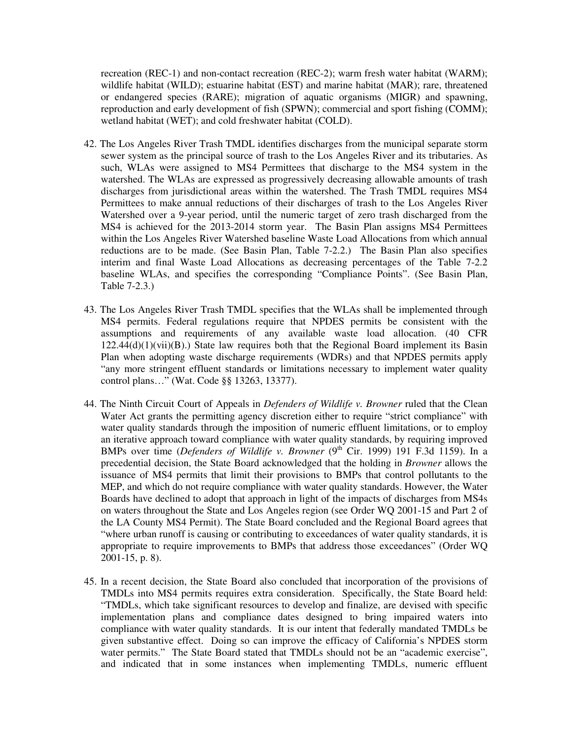recreation (REC-1) and non-contact recreation (REC-2); warm fresh water habitat (WARM); wildlife habitat (WILD); estuarine habitat (EST) and marine habitat (MAR); rare, threatened or endangered species (RARE); migration of aquatic organisms (MIGR) and spawning, reproduction and early development of fish (SPWN); commercial and sport fishing (COMM); wetland habitat (WET); and cold freshwater habitat (COLD).

- 42. The Los Angeles River Trash TMDL identifies discharges from the municipal separate storm sewer system as the principal source of trash to the Los Angeles River and its tributaries. As such, WLAs were assigned to MS4 Permittees that discharge to the MS4 system in the watershed. The WLAs are expressed as progressively decreasing allowable amounts of trash discharges from jurisdictional areas within the watershed. The Trash TMDL requires MS4 Permittees to make annual reductions of their discharges of trash to the Los Angeles River Watershed over a 9-year period, until the numeric target of zero trash discharged from the MS4 is achieved for the 2013-2014 storm year. The Basin Plan assigns MS4 Permittees within the Los Angeles River Watershed baseline Waste Load Allocations from which annual reductions are to be made. (See Basin Plan, Table 7-2.2.) The Basin Plan also specifies interim and final Waste Load Allocations as decreasing percentages of the Table 7-2.2 baseline WLAs, and specifies the corresponding "Compliance Points". (See Basin Plan, Table 7-2.3.)
- 43. The Los Angeles River Trash TMDL specifies that the WLAs shall be implemented through MS4 permits. Federal regulations require that NPDES permits be consistent with the assumptions and requirements of any available waste load allocation. (40 CFR  $122.44(d)(1)(vii)(B)$ .) State law requires both that the Regional Board implement its Basin Plan when adopting waste discharge requirements (WDRs) and that NPDES permits apply "any more stringent effluent standards or limitations necessary to implement water quality control plans…" (Wat. Code §§ 13263, 13377).
- 44. The Ninth Circuit Court of Appeals in *Defenders of Wildlife v. Browner* ruled that the Clean Water Act grants the permitting agency discretion either to require "strict compliance" with water quality standards through the imposition of numeric effluent limitations, or to employ an iterative approach toward compliance with water quality standards, by requiring improved BMPs over time (*Defenders of Wildlife v. Browner* (9<sup>th</sup> Cir. 1999) 191 F.3d 1159). In a precedential decision, the State Board acknowledged that the holding in *Browner* allows the issuance of MS4 permits that limit their provisions to BMPs that control pollutants to the MEP, and which do not require compliance with water quality standards. However, the Water Boards have declined to adopt that approach in light of the impacts of discharges from MS4s on waters throughout the State and Los Angeles region (see Order WQ 2001-15 and Part 2 of the LA County MS4 Permit). The State Board concluded and the Regional Board agrees that "where urban runoff is causing or contributing to exceedances of water quality standards, it is appropriate to require improvements to BMPs that address those exceedances" (Order WQ 2001-15, p. 8).
- 45. In a recent decision, the State Board also concluded that incorporation of the provisions of TMDLs into MS4 permits requires extra consideration. Specifically, the State Board held: "TMDLs, which take significant resources to develop and finalize, are devised with specific implementation plans and compliance dates designed to bring impaired waters into compliance with water quality standards. It is our intent that federally mandated TMDLs be given substantive effect. Doing so can improve the efficacy of California's NPDES storm water permits." The State Board stated that TMDLs should not be an "academic exercise", and indicated that in some instances when implementing TMDLs, numeric effluent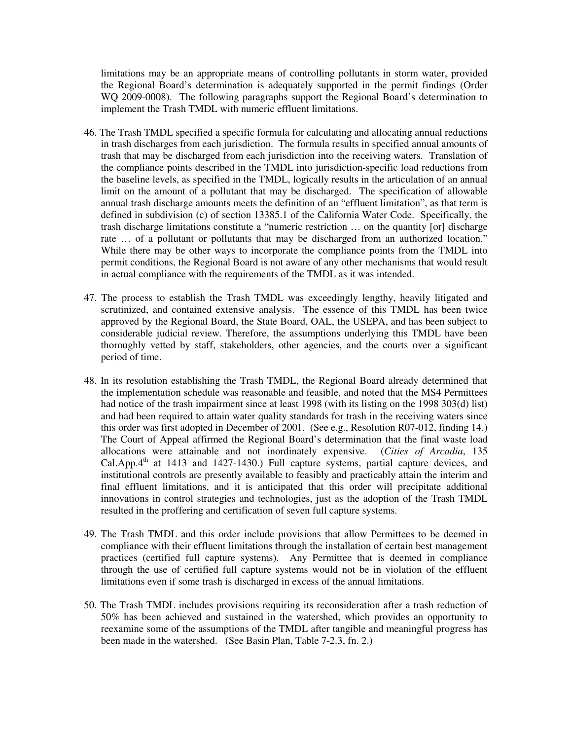limitations may be an appropriate means of controlling pollutants in storm water, provided the Regional Board's determination is adequately supported in the permit findings (Order WQ 2009-0008). The following paragraphs support the Regional Board's determination to implement the Trash TMDL with numeric effluent limitations.

- 46. The Trash TMDL specified a specific formula for calculating and allocating annual reductions in trash discharges from each jurisdiction. The formula results in specified annual amounts of trash that may be discharged from each jurisdiction into the receiving waters. Translation of the compliance points described in the TMDL into jurisdiction-specific load reductions from the baseline levels, as specified in the TMDL, logically results in the articulation of an annual limit on the amount of a pollutant that may be discharged. The specification of allowable annual trash discharge amounts meets the definition of an "effluent limitation", as that term is defined in subdivision (c) of section 13385.1 of the California Water Code. Specifically, the trash discharge limitations constitute a "numeric restriction … on the quantity [or] discharge rate … of a pollutant or pollutants that may be discharged from an authorized location." While there may be other ways to incorporate the compliance points from the TMDL into permit conditions, the Regional Board is not aware of any other mechanisms that would result in actual compliance with the requirements of the TMDL as it was intended.
- 47. The process to establish the Trash TMDL was exceedingly lengthy, heavily litigated and scrutinized, and contained extensive analysis. The essence of this TMDL has been twice approved by the Regional Board, the State Board, OAL, the USEPA, and has been subject to considerable judicial review. Therefore, the assumptions underlying this TMDL have been thoroughly vetted by staff, stakeholders, other agencies, and the courts over a significant period of time.
- 48. In its resolution establishing the Trash TMDL, the Regional Board already determined that the implementation schedule was reasonable and feasible, and noted that the MS4 Permittees had notice of the trash impairment since at least 1998 (with its listing on the 1998 303(d) list) and had been required to attain water quality standards for trash in the receiving waters since this order was first adopted in December of 2001. (See e.g., Resolution R07-012, finding 14.) The Court of Appeal affirmed the Regional Board's determination that the final waste load allocations were attainable and not inordinately expensive. (*Cities of Arcadia*, 135 Cal.App. $4<sup>th</sup>$  at 1413 and 1427-1430.) Full capture systems, partial capture devices, and institutional controls are presently available to feasibly and practicably attain the interim and final effluent limitations, and it is anticipated that this order will precipitate additional innovations in control strategies and technologies, just as the adoption of the Trash TMDL resulted in the proffering and certification of seven full capture systems.
- 49. The Trash TMDL and this order include provisions that allow Permittees to be deemed in compliance with their effluent limitations through the installation of certain best management practices (certified full capture systems). Any Permittee that is deemed in compliance through the use of certified full capture systems would not be in violation of the effluent limitations even if some trash is discharged in excess of the annual limitations.
- 50. The Trash TMDL includes provisions requiring its reconsideration after a trash reduction of 50% has been achieved and sustained in the watershed, which provides an opportunity to reexamine some of the assumptions of the TMDL after tangible and meaningful progress has been made in the watershed. (See Basin Plan, Table 7-2.3, fn. 2.)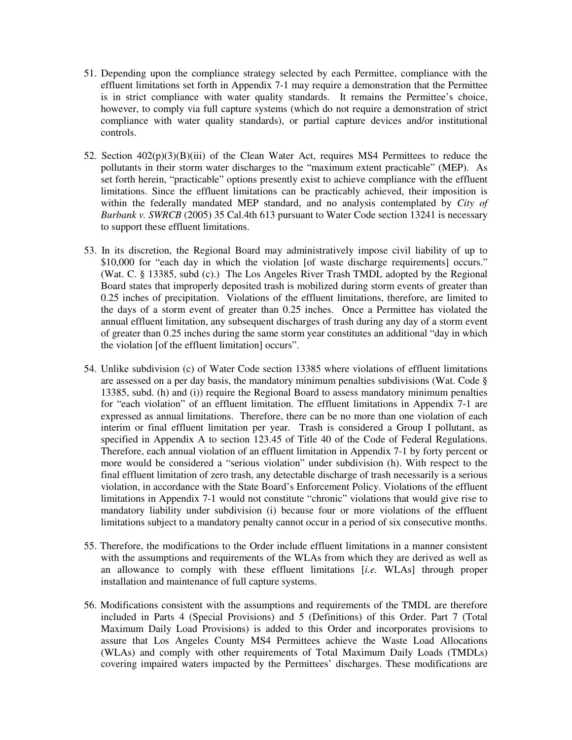- 51. Depending upon the compliance strategy selected by each Permittee, compliance with the effluent limitations set forth in Appendix 7-1 may require a demonstration that the Permittee is in strict compliance with water quality standards. It remains the Permittee's choice, however, to comply via full capture systems (which do not require a demonstration of strict compliance with water quality standards), or partial capture devices and/or institutional controls.
- 52. Section  $402(p)(3)(B)(iii)$  of the Clean Water Act, requires MS4 Permittees to reduce the pollutants in their storm water discharges to the "maximum extent practicable" (MEP). As set forth herein, "practicable" options presently exist to achieve compliance with the effluent limitations. Since the effluent limitations can be practicably achieved, their imposition is within the federally mandated MEP standard, and no analysis contemplated by *City of Burbank v. SWRCB* (2005) 35 Cal.4th 613 pursuant to Water Code section 13241 is necessary to support these effluent limitations.
- 53. In its discretion, the Regional Board may administratively impose civil liability of up to \$10,000 for "each day in which the violation [of waste discharge requirements] occurs." (Wat. C. § 13385, subd (c).) The Los Angeles River Trash TMDL adopted by the Regional Board states that improperly deposited trash is mobilized during storm events of greater than 0.25 inches of precipitation. Violations of the effluent limitations, therefore, are limited to the days of a storm event of greater than 0.25 inches. Once a Permittee has violated the annual effluent limitation, any subsequent discharges of trash during any day of a storm event of greater than 0.25 inches during the same storm year constitutes an additional "day in which the violation [of the effluent limitation] occurs".
- 54. Unlike subdivision (c) of Water Code section 13385 where violations of effluent limitations are assessed on a per day basis, the mandatory minimum penalties subdivisions (Wat. Code § 13385, subd. (h) and (i)) require the Regional Board to assess mandatory minimum penalties for "each violation" of an effluent limitation. The effluent limitations in Appendix 7-1 are expressed as annual limitations. Therefore, there can be no more than one violation of each interim or final effluent limitation per year. Trash is considered a Group I pollutant, as specified in Appendix A to section 123.45 of Title 40 of the Code of Federal Regulations. Therefore, each annual violation of an effluent limitation in Appendix 7-1 by forty percent or more would be considered a "serious violation" under subdivision (h). With respect to the final effluent limitation of zero trash, any detectable discharge of trash necessarily is a serious violation, in accordance with the State Board's Enforcement Policy. Violations of the effluent limitations in Appendix 7-1 would not constitute "chronic" violations that would give rise to mandatory liability under subdivision (i) because four or more violations of the effluent limitations subject to a mandatory penalty cannot occur in a period of six consecutive months.
- 55. Therefore, the modifications to the Order include effluent limitations in a manner consistent with the assumptions and requirements of the WLAs from which they are derived as well as an allowance to comply with these effluent limitations [*i.e.* WLAs] through proper installation and maintenance of full capture systems.
- 56. Modifications consistent with the assumptions and requirements of the TMDL are therefore included in Parts 4 (Special Provisions) and 5 (Definitions) of this Order. Part 7 (Total Maximum Daily Load Provisions) is added to this Order and incorporates provisions to assure that Los Angeles County MS4 Permittees achieve the Waste Load Allocations (WLAs) and comply with other requirements of Total Maximum Daily Loads (TMDLs) covering impaired waters impacted by the Permittees' discharges. These modifications are